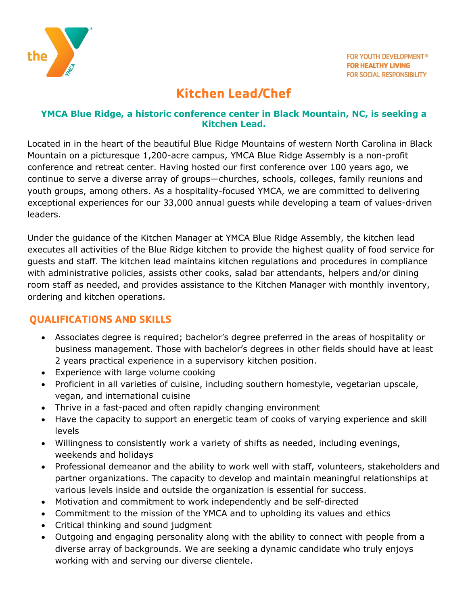

# **Kitchen Lead/Chef**

#### **YMCA Blue Ridge, a historic conference center in Black Mountain, NC, is seeking a Kitchen Lead.**

Located in in the heart of the beautiful Blue Ridge Mountains of western North Carolina in Black Mountain on a picturesque 1,200-acre campus, YMCA Blue Ridge Assembly is a non-profit conference and retreat center. Having hosted our first conference over 100 years ago, we continue to serve a diverse array of groups—churches, schools, colleges, family reunions and youth groups, among others. As a hospitality-focused YMCA, we are committed to delivering exceptional experiences for our 33,000 annual guests while developing a team of values-driven leaders.

Under the guidance of the Kitchen Manager at YMCA Blue Ridge Assembly, the kitchen lead executes all activities of the Blue Ridge kitchen to provide the highest quality of food service for guests and staff. The kitchen lead maintains kitchen regulations and procedures in compliance with administrative policies, assists other cooks, salad bar attendants, helpers and/or dining room staff as needed, and provides assistance to the Kitchen Manager with monthly inventory, ordering and kitchen operations.

# **QUALIFICATIONS AND SKILLS**

- Associates degree is required; bachelor's degree preferred in the areas of hospitality or business management. Those with bachelor's degrees in other fields should have at least 2 years practical experience in a supervisory kitchen position.
- Experience with large volume cooking
- Proficient in all varieties of cuisine, including southern homestyle, vegetarian upscale, vegan, and international cuisine
- Thrive in a fast-paced and often rapidly changing environment
- Have the capacity to support an energetic team of cooks of varying experience and skill levels
- Willingness to consistently work a variety of shifts as needed, including evenings, weekends and holidays
- Professional demeanor and the ability to work well with staff, volunteers, stakeholders and partner organizations. The capacity to develop and maintain meaningful relationships at various levels inside and outside the organization is essential for success.
- Motivation and commitment to work independently and be self-directed
- Commitment to the mission of the YMCA and to upholding its values and ethics
- Critical thinking and sound judgment
- Outgoing and engaging personality along with the ability to connect with people from a diverse array of backgrounds. We are seeking a dynamic candidate who truly enjoys working with and serving our diverse clientele.